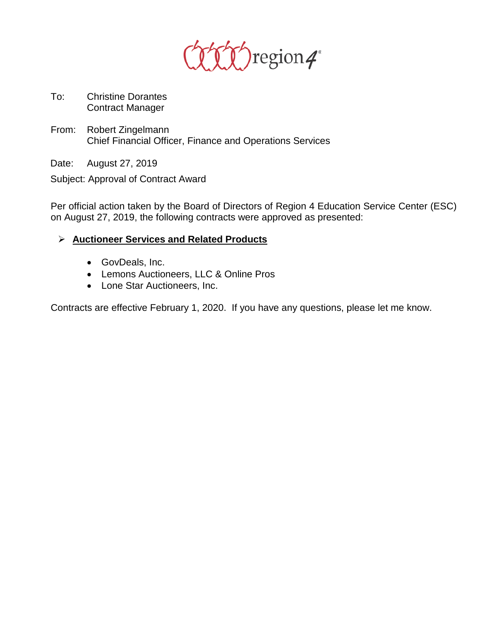

- To: Christine Dorantes Contract Manager
- From: Robert Zingelmann Chief Financial Officer, Finance and Operations Services

Date: August 27, 2019

Subject: Approval of Contract Award

Per official action taken by the Board of Directors of Region 4 Education Service Center (ESC) on August 27, 2019, the following contracts were approved as presented:

## **Auctioneer Services and Related Products**

- GovDeals, Inc.
- Lemons Auctioneers, LLC & Online Pros
- Lone Star Auctioneers, Inc.

Contracts are effective February 1, 2020. If you have any questions, please let me know.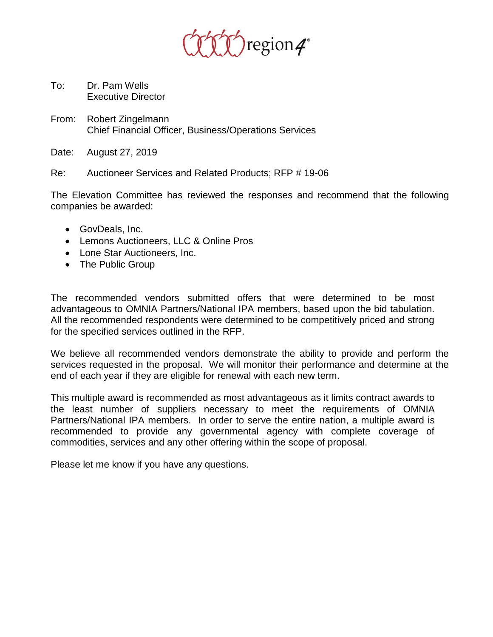

- To: Dr. Pam Wells Executive Director
- From: Robert Zingelmann Chief Financial Officer, Business/Operations Services
- Date: August 27, 2019

Re: Auctioneer Services and Related Products; RFP # 19-06

The Elevation Committee has reviewed the responses and recommend that the following companies be awarded:

- GovDeals, Inc.
- Lemons Auctioneers, LLC & Online Pros
- Lone Star Auctioneers, Inc.
- The Public Group

The recommended vendors submitted offers that were determined to be most advantageous to OMNIA Partners/National IPA members, based upon the bid tabulation. All the recommended respondents were determined to be competitively priced and strong for the specified services outlined in the RFP.

We believe all recommended vendors demonstrate the ability to provide and perform the services requested in the proposal. We will monitor their performance and determine at the end of each year if they are eligible for renewal with each new term.

This multiple award is recommended as most advantageous as it limits contract awards to the least number of suppliers necessary to meet the requirements of OMNIA Partners/National IPA members. In order to serve the entire nation, a multiple award is recommended to provide any governmental agency with complete coverage of commodities, services and any other offering within the scope of proposal.

Please let me know if you have any questions.